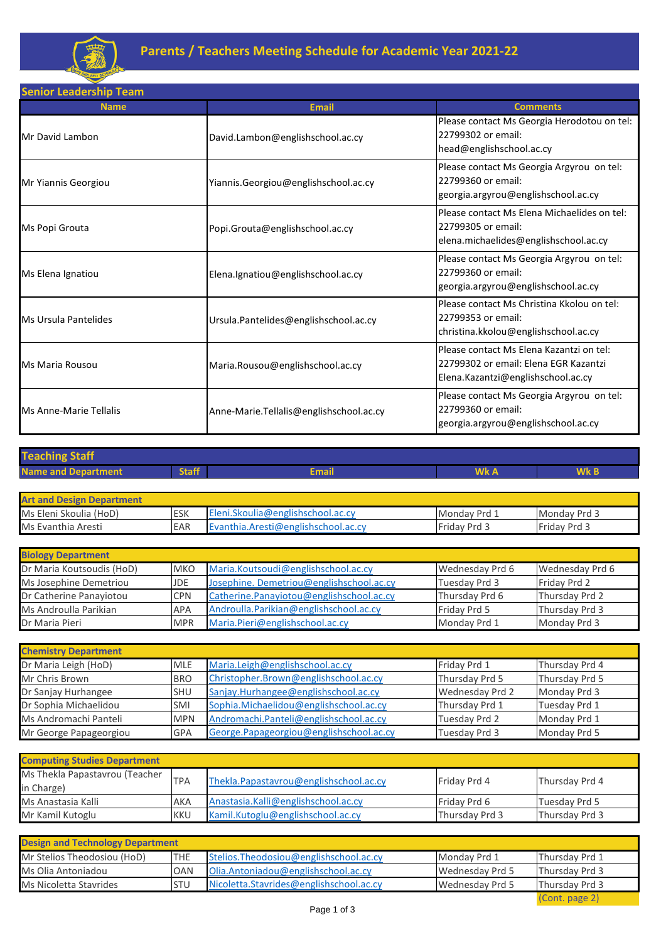

**Senior Leadership Team**

| <b>Name</b>            | <b>Email</b>                            | <b>Comments</b>                                                                                                         |
|------------------------|-----------------------------------------|-------------------------------------------------------------------------------------------------------------------------|
| Mr David Lambon        | David.Lambon@englishschool.ac.cy        | Please contact Ms Georgia Herodotou on tel:<br>22799302 or email:<br>head@englishschool.ac.cy                           |
| Mr Yiannis Georgiou    | Yiannis.Georgiou@englishschool.ac.cy    | Please contact Ms Georgia Argyrou on tel:<br>22799360 or email:<br>georgia.argyrou@englishschool.ac.cy                  |
| Ms Popi Grouta         | Popi.Grouta@englishschool.ac.cy         | Please contact Ms Elena Michaelides on tel:<br>22799305 or email:<br>elena.michaelides@englishschool.ac.cy              |
| Ms Elena Ignatiou      | Elena.Ignatiou@englishschool.ac.cy      | Please contact Ms Georgia Argyrou on tel:<br>22799360 or email:<br>georgia.argyrou@englishschool.ac.cy                  |
| Ms Ursula Pantelides   | Ursula.Pantelides@englishschool.ac.cy   | Please contact Ms Christina Kkolou on tel:<br>22799353 or email:<br>christina.kkolou@englishschool.ac.cy                |
| Ms Maria Rousou        | Maria.Rousou@englishschool.ac.cy        | Please contact Ms Elena Kazantzi on tel:<br>22799302 or email: Elena EGR Kazantzi<br>Elena.Kazantzi@englishschool.ac.cy |
| Ms Anne-Marie Tellalis | Anne-Marie.Tellalis@englishschool.ac.cy | Please contact Ms Georgia Argyrou on tel:<br>22799360 or email:<br>georgia.argyrou@englishschool.ac.cy                  |

| <b>Teaching Staff</b>            |              |                                     |              |              |  |  |
|----------------------------------|--------------|-------------------------------------|--------------|--------------|--|--|
| <b>Name and Department</b>       | <b>Staff</b> | <b>Email</b>                        | Wk A         | Wk B         |  |  |
|                                  |              |                                     |              |              |  |  |
| <b>Art and Design Department</b> |              |                                     |              |              |  |  |
| Ms Eleni Skoulia (HoD)           | ESK          | Eleni.Skoulia@englishschool.ac.cy   | Monday Prd 1 | Monday Prd 3 |  |  |
| Ms Evanthia Aresti               | EAR          | Evanthia.Aresti@englishschool.ac.cy | Friday Prd 3 | Friday Prd 3 |  |  |

| <b>Biology Department</b> |            |                                          |                 |                 |  |
|---------------------------|------------|------------------------------------------|-----------------|-----------------|--|
| Dr Maria Koutsoudis (HoD) | <b>MKO</b> | Maria.Koutsoudi@englishschool.ac.cy      | Wednesday Prd 6 | Wednesday Prd 6 |  |
| Ms Josephine Demetriou    | <b>JDE</b> | Josephine. Demetriou@englishschool.ac.cy | Tuesday Prd 3   | Friday Prd 2    |  |
| Dr Catherine Panayiotou   | <b>CPN</b> | Catherine.Panayiotou@englishschool.ac.cy | Thursday Prd 6  | Thursday Prd 2  |  |
| Ms Androulla Parikian     | <b>APA</b> | Androulla.Parikian@englishschool.ac.cy   | Friday Prd 5    | Thursday Prd 3  |  |
| Dr Maria Pieri            | <b>MPR</b> | Maria.Pieri@englishschool.ac.cy          | Monday Prd 1    | Monday Prd 3    |  |

| <b>Chemistry Department</b> |            |                                         |                 |                |
|-----------------------------|------------|-----------------------------------------|-----------------|----------------|
| Dr Maria Leigh (HoD)        | <b>MLE</b> | Maria.Leigh@englishschool.ac.cy         | Friday Prd 1    | Thursday Prd 4 |
| Mr Chris Brown              | <b>BRO</b> | Christopher.Brown@englishschool.ac.cy   | Thursday Prd 5  | Thursday Prd 5 |
| Dr Sanjay Hurhangee         | <b>SHU</b> | Sanjay.Hurhangee@englishschool.ac.cy    | Wednesday Prd 2 | Monday Prd 3   |
| Dr Sophia Michaelidou       | <b>SMI</b> | Sophia.Michaelidou@englishschool.ac.cy  | Thursday Prd 1  | Tuesday Prd 1  |
| Ms Andromachi Panteli       | <b>MPN</b> | Andromachi.Panteli@englishschool.ac.cy  | Tuesday Prd 2   | Monday Prd 1   |
| Mr George Papageorgiou      | <b>GPA</b> | George.Papageorgiou@englishschool.ac.cy | Tuesday Prd 3   | Monday Prd 5   |

| <b>Computing Studies Department</b> |            |                                        |                |                |  |
|-------------------------------------|------------|----------------------------------------|----------------|----------------|--|
| Ms Thekla Papastavrou (Teacher      |            |                                        |                |                |  |
| in Charge)                          | <b>TPA</b> | Thekla.Papastavrou@englishschool.ac.cy | Friday Prd 4   | Thursday Prd 4 |  |
| Ms Anastasia Kalli                  | AKA        | Anastasia.Kalli@englishschool.ac.cy    | Friday Prd 6   | Tuesday Prd 5  |  |
| Mr Kamil Kutoglu                    | KKU        | Kamil.Kutoglu@englishschool.ac.cy      | Thursday Prd 3 | Thursday Prd 3 |  |

| <b>Design and Technology Department</b> |            |                                         |                 |                       |  |
|-----------------------------------------|------------|-----------------------------------------|-----------------|-----------------------|--|
| Mr Stelios Theodosiou (HoD)             | <b>THE</b> | Stelios. Theodosiou@englishschool.ac.cy | Monday Prd 1    | <b>Thursday Prd 1</b> |  |
| Ms Olia Antoniadou                      | <b>OAN</b> | Olia.Antoniadou@englishschool.ac.cy     | Wednesday Prd 5 | Thursday Prd 3        |  |
| Ms Nicoletta Stavrides                  | <b>STU</b> | Nicoletta.Stavrides@englishschool.ac.cy | Wednesday Prd 5 | Thursday Prd 3        |  |
|                                         |            |                                         |                 | (Cont. page 2)        |  |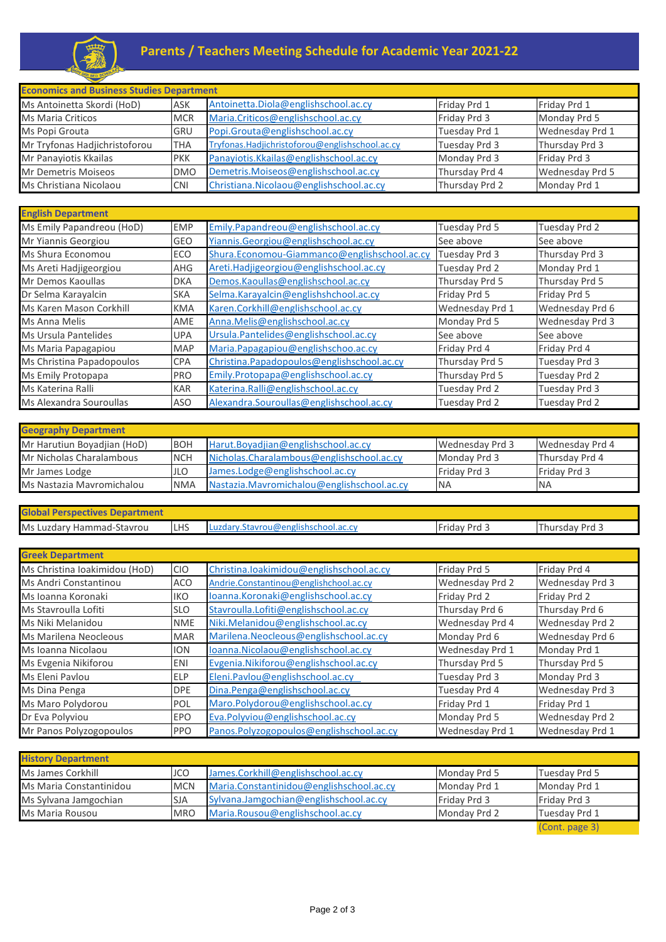

| <b>Economics and Business Studies Department</b> |            |                                                |                |                 |
|--------------------------------------------------|------------|------------------------------------------------|----------------|-----------------|
| Ms Antoinetta Skordi (HoD)                       | <b>ASK</b> | Antoinetta.Diola@englishschool.ac.cy           | Friday Prd 1   | Friday Prd 1    |
| <b>Ms Maria Criticos</b>                         | <b>MCR</b> | Maria.Criticos@englishschool.ac.cy             | Friday Prd 3   | Monday Prd 5    |
| Ms Popi Grouta                                   | <b>GRU</b> | Popi.Grouta@englishschool.ac.cy                | Tuesday Prd 1  | Wednesday Prd 1 |
| Mr Tryfonas Hadjichristoforou                    | <b>THA</b> | Tryfonas.Hadjichristoforou@englishschool.ac.cy | Tuesday Prd 3  | Thursday Prd 3  |
| Mr Panayiotis Kkailas                            | <b>PKK</b> | Panayiotis.Kkailas@englishschool.ac.cy         | Monday Prd 3   | Friday Prd 3    |
| Mr Demetris Moiseos                              | <b>DMO</b> | Demetris.Moiseos@englishschool.ac.cy           | Thursday Prd 4 | Wednesday Prd 5 |
| Ms Christiana Nicolaou                           | <b>CNI</b> | Christiana.Nicolaou@englishschool.ac.cy        | Thursday Prd 2 | Monday Prd 1    |

| <b>English Department</b> |            |                                              |                 |                 |
|---------------------------|------------|----------------------------------------------|-----------------|-----------------|
| Ms Emily Papandreou (HoD) | <b>EMP</b> | Emily.Papandreou@englishschool.ac.cy         | Tuesday Prd 5   | Tuesday Prd 2   |
| Mr Yiannis Georgiou       | GEO        | Yiannis.Georgiou@englishschool.ac.cy         | See above       | See above       |
| Ms Shura Economou         | ECO        | Shura.Economou-Giammanco@englishschool.ac.cy | Tuesday Prd 3   | Thursday Prd 3  |
| Ms Areti Hadjigeorgiou    | AHG        | Areti.Hadjigeorgiou@englishschool.ac.cy      | Tuesday Prd 2   | Monday Prd 1    |
| Mr Demos Kaoullas         | <b>DKA</b> | Demos.Kaoullas@englishschool.ac.cy           | Thursday Prd 5  | Thursday Prd 5  |
| Dr Selma Karayalcin       | <b>SKA</b> | Selma.Karayalcin@englishshchool.ac.cy        | Friday Prd 5    | Friday Prd 5    |
| Ms Karen Mason Corkhill   | <b>KMA</b> | Karen.Corkhill@englishschool.ac.cy           | Wednesday Prd 1 | Wednesday Prd 6 |
| Ms Anna Melis             | AME        | Anna.Melis@englishschool.ac.cy               | Monday Prd 5    | Wednesday Prd 3 |
| Ms Ursula Pantelides      | UPA        | Ursula.Pantelides@englishschool.ac.cy        | See above       | See above       |
| Ms Maria Papagapiou       | <b>MAP</b> | Maria.Papagapiou@englishschoo.ac.cy          | Friday Prd 4    | Friday Prd 4    |
| Ms Christina Papadopoulos | <b>CPA</b> | Christina.Papadopoulos@englishschool.ac.cy   | Thursday Prd 5  | Tuesday Prd 3   |
| Ms Emily Protopapa        | <b>PRO</b> | Emily.Protopapa@englishschool.ac.cy          | Thursday Prd 5  | Tuesday Prd 2   |
| Ms Katerina Ralli         | <b>KAR</b> | Katerina.Ralli@englishschool.ac.cy           | Tuesday Prd 2   | Tuesday Prd 3   |
| Ms Alexandra Souroullas   | ASO        | Alexandra.Souroullas@englishschool.ac.cy     | Tuesday Prd 2   | Tuesday Prd 2   |

| <b>Geography Department</b> |            |                                            |                     |                 |  |
|-----------------------------|------------|--------------------------------------------|---------------------|-----------------|--|
| Mr Harutiun Boyadjian (HoD) | <b>BOH</b> | Harut.Boyadijan@englishschool.ac.cy        | Wednesday Prd 3     | Wednesday Prd 4 |  |
| Mr Nicholas Charalambous    | <b>NCH</b> | Nicholas.Charalambous@englishschool.ac.cy  | Monday Prd 3        | Thursday Prd 4  |  |
| Mr James Lodge              | <b>JLO</b> | James.Lodge@englishschool.ac.cy            | <b>Friday Prd 3</b> | Friday Prd 3    |  |
| Ms Nastazia Mavromichalou   | <b>NMA</b> | Nastazia.Mavromichalou@englishschool.ac.cy | <b>INA</b>          | <b>NA</b>       |  |

| <b>Global Perspectives Department</b> |            |                                          |                 |                 |  |
|---------------------------------------|------------|------------------------------------------|-----------------|-----------------|--|
| Ms Luzdary Hammad-Stavrou             | <b>LHS</b> | Luzdary.Stavrou@englishschool.ac.cy      | Friday Prd 3    | Thursday Prd 3  |  |
|                                       |            |                                          |                 |                 |  |
| <b>Greek Department</b>               |            |                                          |                 |                 |  |
| Ms Christina Ioakimidou (HoD)         | <b>CIO</b> | Christina.loakimidou@englishschool.ac.cy | Friday Prd 5    | Friday Prd 4    |  |
| Ms Andri Constantinou                 | <b>ACO</b> | Andrie.Constantinou@englishchool.ac.cy   | Wednesday Prd 2 | Wednesday Prd 3 |  |
| Ms Ioanna Koronaki                    | IKO        | loanna.Koronaki@englishschool.ac.cy      | Friday Prd 2    | Friday Prd 2    |  |
| Ms Stavroulla Lofiti                  | <b>SLO</b> | Stavroulla.Lofiti@englishschool.ac.cy    | Thursday Prd 6  | Thursday Prd 6  |  |
| Ms Niki Melanidou                     | <b>NME</b> | Niki.Melanidou@englishschool.ac.cy       | Wednesday Prd 4 | Wednesday Prd 2 |  |
| Ms Marilena Neocleous                 | <b>MAR</b> | Marilena.Neocleous@englishschool.ac.cy   | Monday Prd 6    | Wednesday Prd 6 |  |
| Ms Ioanna Nicolaou                    | <b>ION</b> | loanna.Nicolaou@englishschool.ac.cy      | Wednesday Prd 1 | Monday Prd 1    |  |
| Ms Evgenia Nikiforou                  | <b>ENI</b> | Evgenia.Nikiforou@englishschool.ac.cy    | Thursday Prd 5  | Thursday Prd 5  |  |
| Ms Eleni Pavlou                       | ELP        | Eleni.Pavlou@englishschool.ac.cy         | Tuesday Prd 3   | Monday Prd 3    |  |
| Ms Dina Penga                         | <b>DPE</b> | Dina.Penga@englishschool.ac.cy           | Tuesday Prd 4   | Wednesday Prd 3 |  |
| Ms Maro Polydorou                     | POL        | Maro.Polydorou@englishschool.ac.cy       | Friday Prd 1    | Friday Prd 1    |  |
| Dr Eva Polyviou                       | <b>EPO</b> | Eva.Polyviou@englishschool.ac.cy         | Monday Prd 5    | Wednesday Prd 2 |  |
| Mr Panos Polyzogopoulos               | <b>PPO</b> | Panos.Polyzogopoulos@englishschool.ac.cy | Wednesday Prd 1 | Wednesday Prd 1 |  |

| <b>History Department</b> |            |                                          |              |                |
|---------------------------|------------|------------------------------------------|--------------|----------------|
| Ms James Corkhill         | <b>JCO</b> | James.Corkhill@englishschool.ac.cy       | Monday Prd 5 | Tuesday Prd 5  |
| Ms Maria Constantinidou   | <b>MCN</b> | Maria.Constantinidou@englishschool.ac.cy | Monday Prd 1 | Monday Prd 1   |
| Ms Sylvana Jamgochian     | <b>SJA</b> | Sylvana.Jamgochian@englishschool.ac.cy   | Friday Prd 3 | Friday Prd 3   |
| Ms Maria Rousou           | <b>MRO</b> | Maria.Rousou@englishschool.ac.cy         | Monday Prd 2 | Tuesday Prd 1  |
|                           |            |                                          |              | (Cont. page 3) |